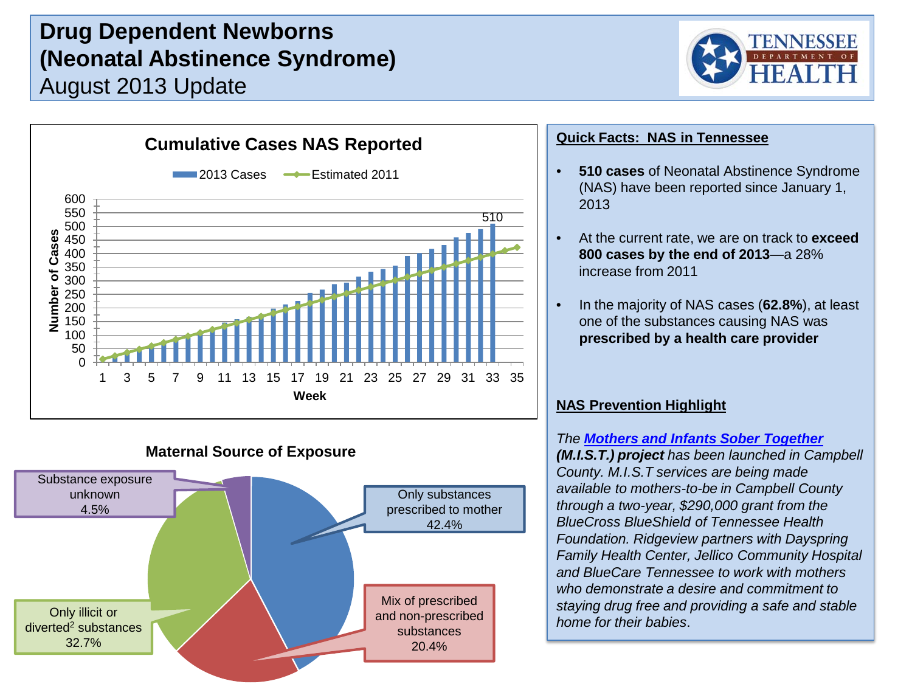# **Drug Dependent Newborns (Neonatal Abstinence Syndrome)** August 2013 Update





### **Maternal Source of Exposure**



### **Quick Facts: NAS in Tennessee**

- **510 cases** of Neonatal Abstinence Syndrome (NAS) have been reported since January 1, 2013
- At the current rate, we are on track to **exceed 800 cases by the end of 2013**—a 28% increase from 2011
- In the majority of NAS cases (**62.8%**), at least one of the substances causing NAS was **prescribed by a health care provider**

### **NAS Prevention Highlight**

*The [Mothers and Infants Sober Together](http://www.raconline.org/success/project-examples/files/380-mist-brochure.pdf)  (M.I.S.T.) project has been launched in Campbell County. M.I.S.T services are being made available to mothers-to-be in Campbell County through a two-year, \$290,000 grant from the BlueCross BlueShield of Tennessee Health Foundation. Ridgeview partners with Dayspring Family Health Center, Jellico Community Hospital and BlueCare Tennessee to work with mothers who demonstrate a desire and commitment to staying drug free and providing a safe and stable home for their babies*.